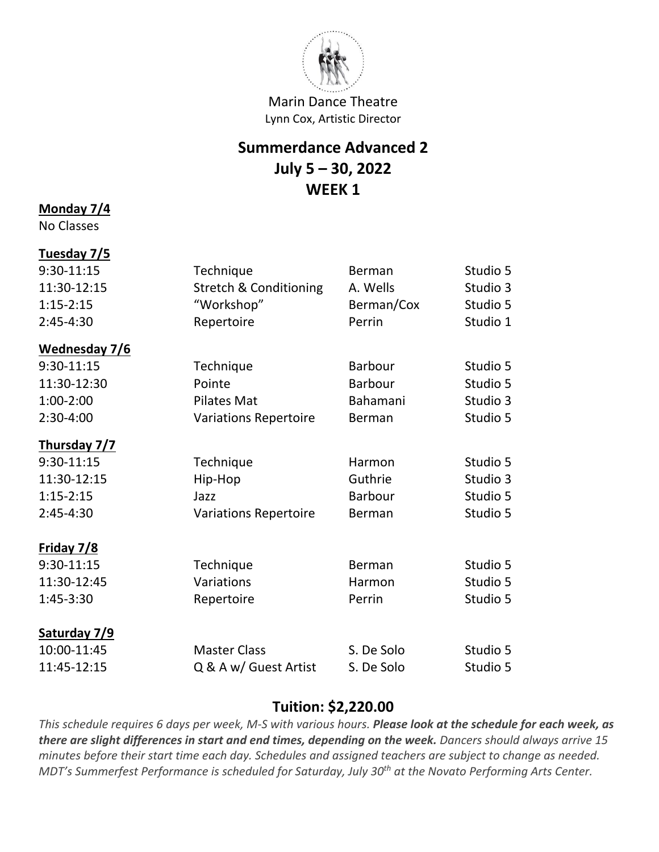

## **Summerdance Advanced 2 July 5 – 30, 2022 WEEK 1**

#### **Monday 7/4**

No Classes

# **Tuesday 7/5**

| 9:30-11:15    | Technique                         | Berman     | Studio 5 |
|---------------|-----------------------------------|------------|----------|
| 11:30-12:15   | <b>Stretch &amp; Conditioning</b> | A. Wells   | Studio 3 |
| $1:15-2:15$   | "Workshop"                        | Berman/Cox | Studio 5 |
| $2:45-4:30$   | Repertoire                        | Perrin     | Studio 1 |
| Wednesday 7/6 |                                   |            |          |
| 9:30-11:15    | Technique                         | Barbour    | Studio 5 |
| 11:30-12:30   | Pointe                            | Barbour    | Studio 5 |
| $1:00-2:00$   | <b>Pilates Mat</b>                | Bahamani   | Studio 3 |
| 2:30-4:00     | <b>Variations Repertoire</b>      | Berman     | Studio 5 |
| Thursday 7/7  |                                   |            |          |
| 9:30-11:15    | Technique                         | Harmon     | Studio 5 |
| 11:30-12:15   | Hip-Hop                           | Guthrie    | Studio 3 |
| $1:15-2:15$   | Jazz                              | Barbour    | Studio 5 |
| 2:45-4:30     | <b>Variations Repertoire</b>      | Berman     | Studio 5 |
| Friday 7/8    |                                   |            |          |
| 9:30-11:15    | Technique                         | Berman     | Studio 5 |
| 11:30-12:45   | Variations                        | Harmon     | Studio 5 |
| 1:45-3:30     | Repertoire                        | Perrin     | Studio 5 |
| Saturday 7/9  |                                   |            |          |
| 10:00-11:45   | <b>Master Class</b>               | S. De Solo | Studio 5 |
| 11:45-12:15   | Q & A w/ Guest Artist             | S. De Solo | Studio 5 |

#### **Tuition: \$2,220.00**

*This schedule requires 6 days per week, M-S with various hours. Please look at the schedule for each week, as there are slight differences in start and end times, depending on the week. Dancers should always arrive 15 minutes before their start time each day. Schedules and assigned teachers are subject to change as needed. MDT's Summerfest Performance is scheduled for Saturday, July 30th at the Novato Performing Arts Center.*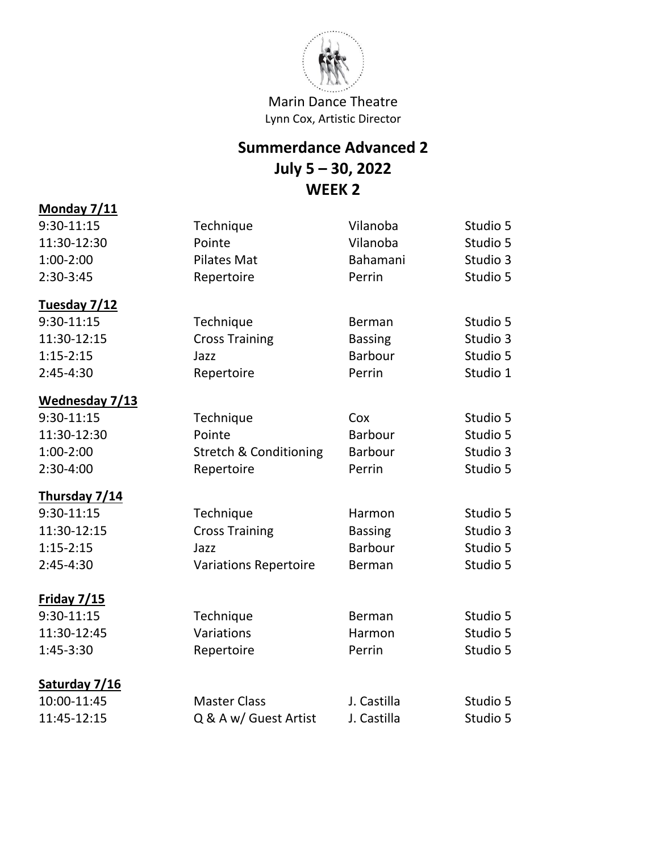

# **Summerdance Advanced 2 July 5 – 30, 2022 WEEK 2**

| Monday 7/11        |                                   |                |          |
|--------------------|-----------------------------------|----------------|----------|
| 9:30-11:15         | Technique                         | Vilanoba       | Studio 5 |
| 11:30-12:30        | Pointe                            | Vilanoba       | Studio 5 |
| $1:00-2:00$        | <b>Pilates Mat</b>                | Bahamani       | Studio 3 |
| 2:30-3:45          | Repertoire                        | Perrin         | Studio 5 |
| Tuesday 7/12       |                                   |                |          |
| 9:30-11:15         | Technique                         | Berman         | Studio 5 |
| 11:30-12:15        | <b>Cross Training</b>             | <b>Bassing</b> | Studio 3 |
| $1:15-2:15$        | Jazz                              | <b>Barbour</b> | Studio 5 |
| $2:45-4:30$        | Repertoire                        | Perrin         | Studio 1 |
| Wednesday 7/13     |                                   |                |          |
| 9:30-11:15         | Technique                         | Cox            | Studio 5 |
| 11:30-12:30        | Pointe                            | <b>Barbour</b> | Studio 5 |
| $1:00-2:00$        | <b>Stretch &amp; Conditioning</b> | <b>Barbour</b> | Studio 3 |
| 2:30-4:00          | Repertoire                        | Perrin         | Studio 5 |
| Thursday 7/14      |                                   |                |          |
| 9:30-11:15         | Technique                         | Harmon         | Studio 5 |
| 11:30-12:15        | <b>Cross Training</b>             | <b>Bassing</b> | Studio 3 |
| $1:15-2:15$        | Jazz                              | <b>Barbour</b> | Studio 5 |
| $2:45-4:30$        | <b>Variations Repertoire</b>      | Berman         | Studio 5 |
| <b>Friday 7/15</b> |                                   |                |          |
| 9:30-11:15         | Technique                         | Berman         | Studio 5 |
| 11:30-12:45        | Variations                        | Harmon         | Studio 5 |
| 1:45-3:30          | Repertoire                        | Perrin         | Studio 5 |
| Saturday 7/16      |                                   |                |          |
| 10:00-11:45        | <b>Master Class</b>               | J. Castilla    | Studio 5 |
| 11:45-12:15        | Q & A w/ Guest Artist             | J. Castilla    | Studio 5 |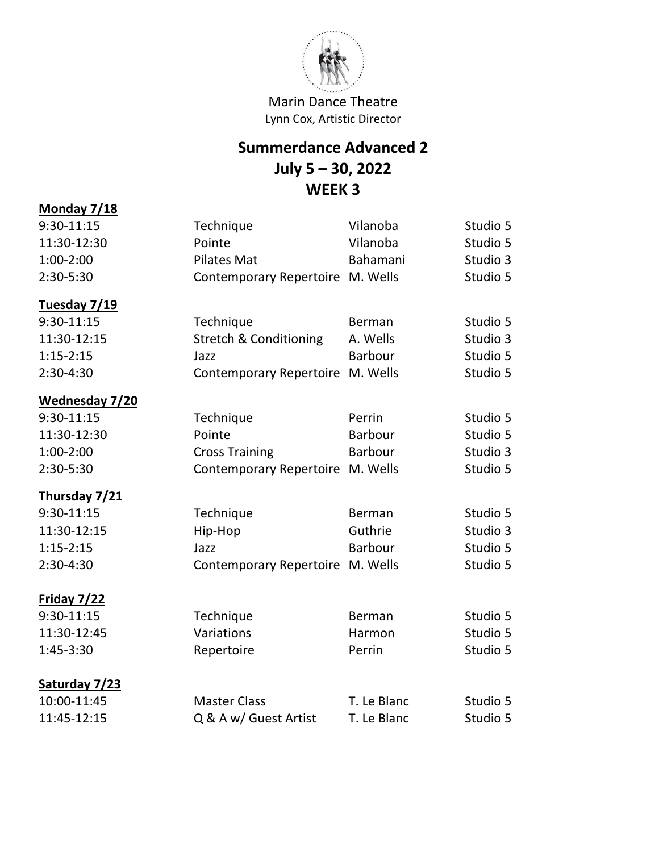

# **Summerdance Advanced 2 July 5 – 30, 2022 WEEK 3**

| Monday 7/18           |                                   |                |          |
|-----------------------|-----------------------------------|----------------|----------|
| 9:30-11:15            | Technique                         | Vilanoba       | Studio 5 |
| 11:30-12:30           | Pointe                            | Vilanoba       | Studio 5 |
| $1:00-2:00$           | <b>Pilates Mat</b>                | Bahamani       | Studio 3 |
| 2:30-5:30             | Contemporary Repertoire M. Wells  |                | Studio 5 |
| Tuesday 7/19          |                                   |                |          |
| $9:30-11:15$          | Technique                         | Berman         | Studio 5 |
| 11:30-12:15           | <b>Stretch &amp; Conditioning</b> | A. Wells       | Studio 3 |
| $1:15 - 2:15$         | Jazz                              | <b>Barbour</b> | Studio 5 |
| 2:30-4:30             | Contemporary Repertoire M. Wells  |                | Studio 5 |
| <b>Wednesday 7/20</b> |                                   |                |          |
| 9:30-11:15            | Technique                         | Perrin         | Studio 5 |
| 11:30-12:30           | Pointe                            | <b>Barbour</b> | Studio 5 |
| $1:00-2:00$           | <b>Cross Training</b>             | <b>Barbour</b> | Studio 3 |
| 2:30-5:30             | <b>Contemporary Repertoire</b>    | M. Wells       | Studio 5 |
| Thursday 7/21         |                                   |                |          |
| 9:30-11:15            | Technique                         | Berman         | Studio 5 |
| 11:30-12:15           | Hip-Hop                           | Guthrie        | Studio 3 |
| $1:15-2:15$           | Jazz                              | <b>Barbour</b> | Studio 5 |
| 2:30-4:30             | <b>Contemporary Repertoire</b>    | M. Wells       | Studio 5 |
| <b>Friday 7/22</b>    |                                   |                |          |
| 9:30-11:15            | Technique                         | <b>Berman</b>  | Studio 5 |
| 11:30-12:45           | Variations                        | Harmon         | Studio 5 |
| 1:45-3:30             | Repertoire                        | Perrin         | Studio 5 |
| Saturday 7/23         |                                   |                |          |
| 10:00-11:45           | <b>Master Class</b>               | T. Le Blanc    | Studio 5 |
| 11:45-12:15           | Q & A w/ Guest Artist             | T. Le Blanc    | Studio 5 |